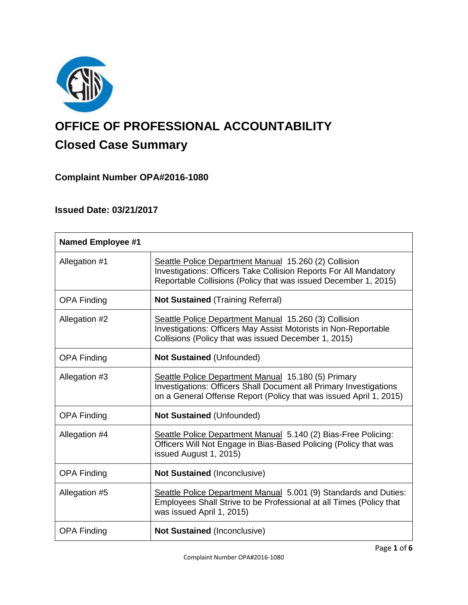

# **OFFICE OF PROFESSIONAL ACCOUNTABILITY Closed Case Summary**

# **Complaint Number OPA#2016-1080**

# **Issued Date: 03/21/2017**

| <b>Named Employee #1</b> |                                                                                                                                                                                                        |
|--------------------------|--------------------------------------------------------------------------------------------------------------------------------------------------------------------------------------------------------|
| Allegation #1            | Seattle Police Department Manual 15.260 (2) Collision<br>Investigations: Officers Take Collision Reports For All Mandatory<br>Reportable Collisions (Policy that was issued December 1, 2015)          |
| <b>OPA Finding</b>       | <b>Not Sustained (Training Referral)</b>                                                                                                                                                               |
| Allegation #2            | Seattle Police Department Manual 15.260 (3) Collision<br>Investigations: Officers May Assist Motorists in Non-Reportable<br>Collisions (Policy that was issued December 1, 2015)                       |
| <b>OPA Finding</b>       | <b>Not Sustained (Unfounded)</b>                                                                                                                                                                       |
| Allegation #3            | Seattle Police Department Manual 15.180 (5) Primary<br><b>Investigations: Officers Shall Document all Primary Investigations</b><br>on a General Offense Report (Policy that was issued April 1, 2015) |
| <b>OPA Finding</b>       | <b>Not Sustained (Unfounded)</b>                                                                                                                                                                       |
| Allegation #4            | Seattle Police Department Manual 5.140 (2) Bias-Free Policing:<br>Officers Will Not Engage in Bias-Based Policing (Policy that was<br>issued August 1, 2015)                                           |
| <b>OPA Finding</b>       | <b>Not Sustained (Inconclusive)</b>                                                                                                                                                                    |
| Allegation #5            | Seattle Police Department Manual 5.001 (9) Standards and Duties:<br>Employees Shall Strive to be Professional at all Times (Policy that<br>was issued April 1, 2015)                                   |
| <b>OPA Finding</b>       | <b>Not Sustained (Inconclusive)</b>                                                                                                                                                                    |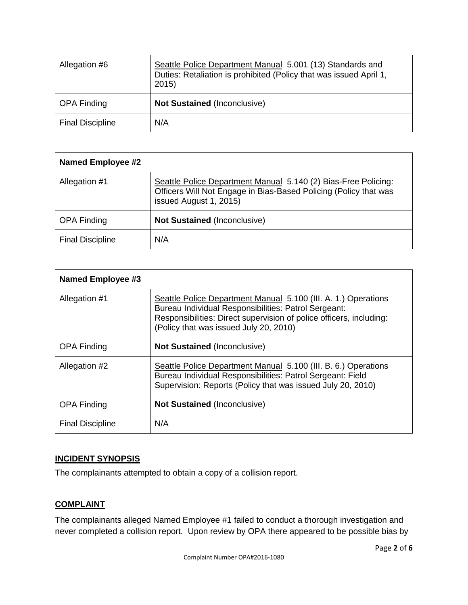| Allegation #6           | Seattle Police Department Manual 5.001 (13) Standards and<br>Duties: Retaliation is prohibited (Policy that was issued April 1,<br>2015) |
|-------------------------|------------------------------------------------------------------------------------------------------------------------------------------|
| <b>OPA Finding</b>      | <b>Not Sustained (Inconclusive)</b>                                                                                                      |
| <b>Final Discipline</b> | N/A                                                                                                                                      |

| <b>Named Employee #2</b> |                                                                                                                                                              |  |
|--------------------------|--------------------------------------------------------------------------------------------------------------------------------------------------------------|--|
| Allegation #1            | Seattle Police Department Manual 5.140 (2) Bias-Free Policing:<br>Officers Will Not Engage in Bias-Based Policing (Policy that was<br>issued August 1, 2015) |  |
| <b>OPA Finding</b>       | <b>Not Sustained (Inconclusive)</b>                                                                                                                          |  |
| <b>Final Discipline</b>  | N/A                                                                                                                                                          |  |

| Named Employee #3       |                                                                                                                                                                                                                                         |
|-------------------------|-----------------------------------------------------------------------------------------------------------------------------------------------------------------------------------------------------------------------------------------|
| Allegation #1           | Seattle Police Department Manual 5.100 (III. A. 1.) Operations<br>Bureau Individual Responsibilities: Patrol Sergeant:<br>Responsibilities: Direct supervision of police officers, including:<br>(Policy that was issued July 20, 2010) |
| <b>OPA Finding</b>      | <b>Not Sustained (Inconclusive)</b>                                                                                                                                                                                                     |
| Allegation #2           | Seattle Police Department Manual 5.100 (III. B. 6.) Operations<br>Bureau Individual Responsibilities: Patrol Sergeant: Field<br>Supervision: Reports (Policy that was issued July 20, 2010)                                             |
| <b>OPA Finding</b>      | <b>Not Sustained (Inconclusive)</b>                                                                                                                                                                                                     |
| <b>Final Discipline</b> | N/A                                                                                                                                                                                                                                     |

## **INCIDENT SYNOPSIS**

The complainants attempted to obtain a copy of a collision report.

## **COMPLAINT**

The complainants alleged Named Employee #1 failed to conduct a thorough investigation and never completed a collision report. Upon review by OPA there appeared to be possible bias by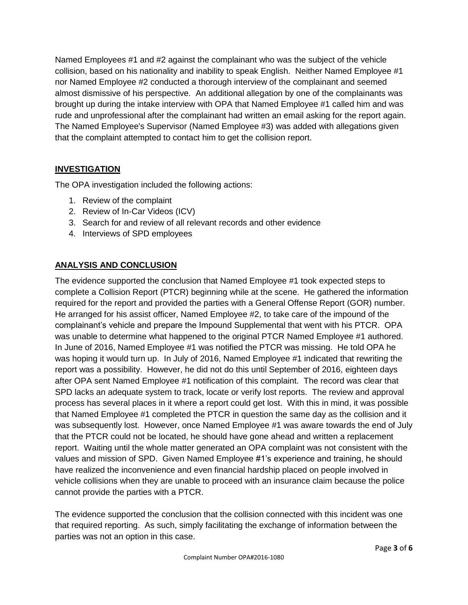Named Employees #1 and #2 against the complainant who was the subject of the vehicle collision, based on his nationality and inability to speak English. Neither Named Employee #1 nor Named Employee #2 conducted a thorough interview of the complainant and seemed almost dismissive of his perspective. An additional allegation by one of the complainants was brought up during the intake interview with OPA that Named Employee #1 called him and was rude and unprofessional after the complainant had written an email asking for the report again. The Named Employee's Supervisor (Named Employee #3) was added with allegations given that the complaint attempted to contact him to get the collision report.

## **INVESTIGATION**

The OPA investigation included the following actions:

- 1. Review of the complaint
- 2. Review of In-Car Videos (ICV)
- 3. Search for and review of all relevant records and other evidence
- 4. Interviews of SPD employees

## **ANALYSIS AND CONCLUSION**

The evidence supported the conclusion that Named Employee #1 took expected steps to complete a Collision Report (PTCR) beginning while at the scene. He gathered the information required for the report and provided the parties with a General Offense Report (GOR) number. He arranged for his assist officer, Named Employee #2, to take care of the impound of the complainant's vehicle and prepare the Impound Supplemental that went with his PTCR. OPA was unable to determine what happened to the original PTCR Named Employee #1 authored. In June of 2016, Named Employee #1 was notified the PTCR was missing. He told OPA he was hoping it would turn up. In July of 2016, Named Employee #1 indicated that rewriting the report was a possibility. However, he did not do this until September of 2016, eighteen days after OPA sent Named Employee #1 notification of this complaint. The record was clear that SPD lacks an adequate system to track, locate or verify lost reports. The review and approval process has several places in it where a report could get lost. With this in mind, it was possible that Named Employee #1 completed the PTCR in question the same day as the collision and it was subsequently lost. However, once Named Employee #1 was aware towards the end of July that the PTCR could not be located, he should have gone ahead and written a replacement report. Waiting until the whole matter generated an OPA complaint was not consistent with the values and mission of SPD. Given Named Employee #1's experience and training, he should have realized the inconvenience and even financial hardship placed on people involved in vehicle collisions when they are unable to proceed with an insurance claim because the police cannot provide the parties with a PTCR.

The evidence supported the conclusion that the collision connected with this incident was one that required reporting. As such, simply facilitating the exchange of information between the parties was not an option in this case.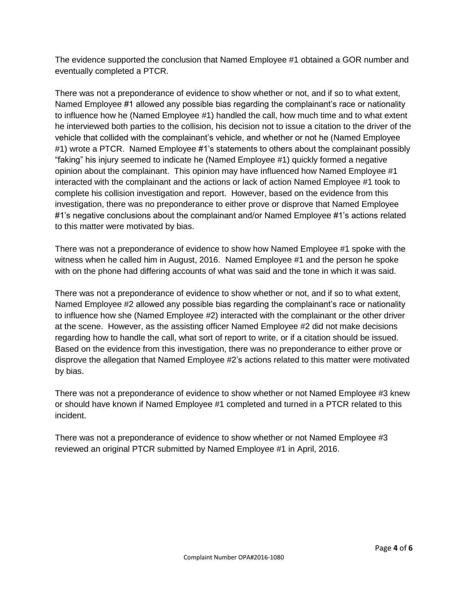The evidence supported the conclusion that Named Employee #1 obtained a GOR number and eventually completed a PTCR.

There was not a preponderance of evidence to show whether or not, and if so to what extent, Named Employee #1 allowed any possible bias regarding the complainant's race or nationality to influence how he (Named Employee #1) handled the call, how much time and to what extent he interviewed both parties to the collision, his decision not to issue a citation to the driver of the vehicle that collided with the complainant's vehicle, and whether or not he (Named Employee #1) wrote a PTCR. Named Employee #1's statements to others about the complainant possibly "faking" his injury seemed to indicate he (Named Employee #1) quickly formed a negative opinion about the complainant. This opinion may have influenced how Named Employee #1 interacted with the complainant and the actions or lack of action Named Employee #1 took to complete his collision investigation and report. However, based on the evidence from this investigation, there was no preponderance to either prove or disprove that Named Employee #1's negative conclusions about the complainant and/or Named Employee #1's actions related to this matter were motivated by bias.

There was not a preponderance of evidence to show how Named Employee #1 spoke with the witness when he called him in August, 2016. Named Employee #1 and the person he spoke with on the phone had differing accounts of what was said and the tone in which it was said.

There was not a preponderance of evidence to show whether or not, and if so to what extent, Named Employee #2 allowed any possible bias regarding the complainant's race or nationality to influence how she (Named Employee #2) interacted with the complainant or the other driver at the scene. However, as the assisting officer Named Employee #2 did not make decisions regarding how to handle the call, what sort of report to write, or if a citation should be issued. Based on the evidence from this investigation, there was no preponderance to either prove or disprove the allegation that Named Employee #2's actions related to this matter were motivated by bias.

There was not a preponderance of evidence to show whether or not Named Employee #3 knew or should have known if Named Employee #1 completed and turned in a PTCR related to this incident.

There was not a preponderance of evidence to show whether or not Named Employee #3 reviewed an original PTCR submitted by Named Employee #1 in April, 2016.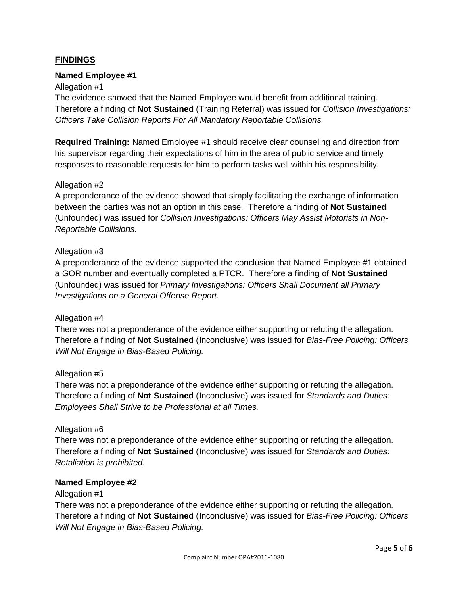## **FINDINGS**

#### **Named Employee #1**

#### Allegation #1

The evidence showed that the Named Employee would benefit from additional training. Therefore a finding of **Not Sustained** (Training Referral) was issued for *Collision Investigations: Officers Take Collision Reports For All Mandatory Reportable Collisions.*

**Required Training:** Named Employee #1 should receive clear counseling and direction from his supervisor regarding their expectations of him in the area of public service and timely responses to reasonable requests for him to perform tasks well within his responsibility.

#### Allegation #2

A preponderance of the evidence showed that simply facilitating the exchange of information between the parties was not an option in this case. Therefore a finding of **Not Sustained** (Unfounded) was issued for *Collision Investigations: Officers May Assist Motorists in Non-Reportable Collisions.*

#### Allegation #3

A preponderance of the evidence supported the conclusion that Named Employee #1 obtained a GOR number and eventually completed a PTCR. Therefore a finding of **Not Sustained** (Unfounded) was issued for *Primary Investigations: Officers Shall Document all Primary Investigations on a General Offense Report.*

#### Allegation #4

There was not a preponderance of the evidence either supporting or refuting the allegation. Therefore a finding of **Not Sustained** (Inconclusive) was issued for *Bias-Free Policing: Officers Will Not Engage in Bias-Based Policing.*

#### Allegation #5

There was not a preponderance of the evidence either supporting or refuting the allegation. Therefore a finding of **Not Sustained** (Inconclusive) was issued for *Standards and Duties: Employees Shall Strive to be Professional at all Times.*

#### Allegation #6

There was not a preponderance of the evidence either supporting or refuting the allegation. Therefore a finding of **Not Sustained** (Inconclusive) was issued for *Standards and Duties: Retaliation is prohibited.*

#### **Named Employee #2**

#### Allegation #1

There was not a preponderance of the evidence either supporting or refuting the allegation. Therefore a finding of **Not Sustained** (Inconclusive) was issued for *Bias-Free Policing: Officers Will Not Engage in Bias-Based Policing.*